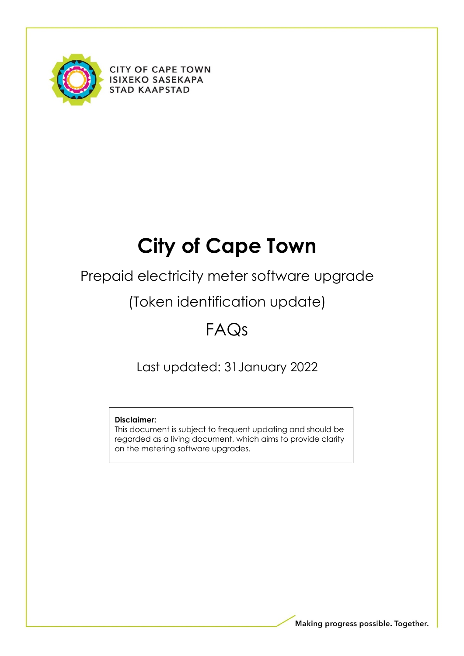

**CITY OF CAPE TOWN ISIXEKO SASEKAPA STAD KAAPSTAD** 

# **City of Cape Town**

Prepaid electricity meter software upgrade

(Token identification update)

## FAQs

Last updated: 31January 2022

## **Disclaimer:**

This document is subject to frequent updating and should be regarded as a living document, which aims to provide clarity on the metering software upgrades.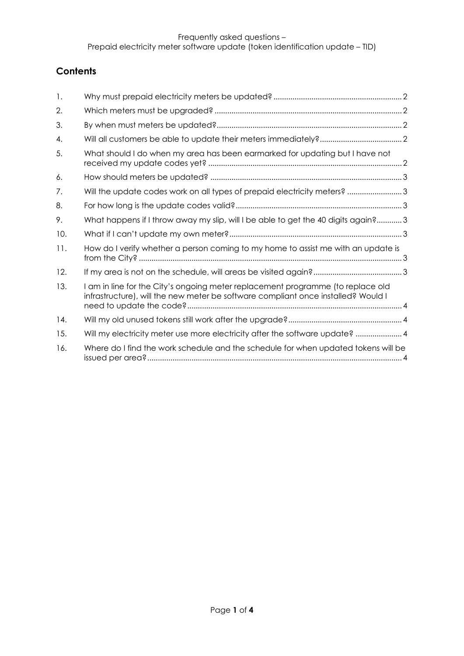## **Contents**

| 1.  |                                                                                                                                                                      |
|-----|----------------------------------------------------------------------------------------------------------------------------------------------------------------------|
| 2.  |                                                                                                                                                                      |
| 3.  |                                                                                                                                                                      |
| 4.  |                                                                                                                                                                      |
| 5.  | What should I do when my area has been earmarked for updating but I have not                                                                                         |
| 6.  |                                                                                                                                                                      |
| 7.  | Will the update codes work on all types of prepaid electricity meters? 3                                                                                             |
| 8.  |                                                                                                                                                                      |
| 9.  | What happens if I throw away my slip, will I be able to get the 40 digits again?3                                                                                    |
| 10. |                                                                                                                                                                      |
| 11. | How do I verify whether a person coming to my home to assist me with an update is                                                                                    |
| 12. |                                                                                                                                                                      |
| 13. | I am in line for the City's ongoing meter replacement programme (to replace old<br>infrastructure), will the new meter be software compliant once installed? Would I |
| 14. |                                                                                                                                                                      |
| 15. | Will my electricity meter use more electricity after the software update?  4                                                                                         |
| 16. | Where do I find the work schedule and the schedule for when updated tokens will be                                                                                   |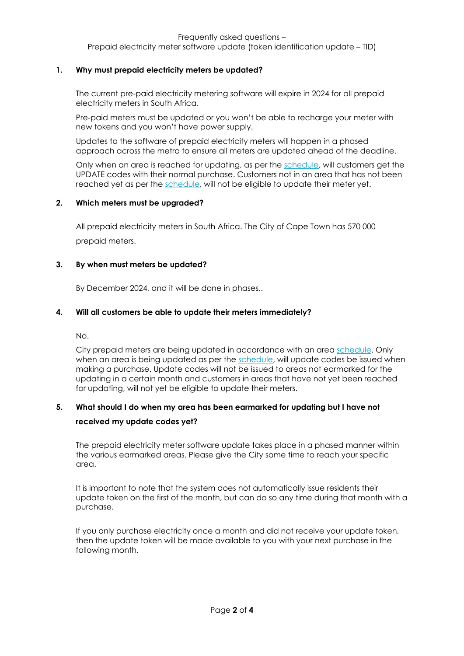Frequently asked questions –

Prepaid electricity meter software update (token identification update – TID)

#### <span id="page-2-0"></span>**1. Why must prepaid electricity meters be updated?**

The current pre-paid electricity metering software will expire in 2024 for all prepaid electricity meters in South Africa.

Pre-paid meters must be updated or you won't be able to recharge your meter with new tokens and you won't have power supply.

Updates to the software of prepaid electricity meters will happen in a phased approach across the metro to ensure all meters are updated ahead of the deadline.

Only when an area is reached for updating, as per the [schedule,](https://resource.capetown.gov.za/documentcentre/Documents/Procedures%2C%20guidelines%20and%20regulations/Token_Identifier_Roll-Out_Plan_Key_Change_Token_Project_Schedule.pdf) will customers get the UPDATE codes with their normal purchase. Customers not in an area that has not been reached yet as per the [schedule,](https://resource.capetown.gov.za/documentcentre/Documents/Procedures%2C%20guidelines%20and%20regulations/Token_Identifier_Roll-Out_Plan_Key_Change_Token_Project_Schedule.pdf) will not be eligible to update their meter yet.

#### <span id="page-2-1"></span>**2. Which meters must be upgraded?**

All prepaid electricity meters in South Africa. The City of Cape Town has 570 000 prepaid meters.

#### <span id="page-2-2"></span>**3. By when must meters be updated?**

By December 2024, and it will be done in phases..

#### <span id="page-2-3"></span>**4. Will all customers be able to update their meters immediately?**

No.

City prepaid meters are being updated in accordance with an area [schedule.](https://resource.capetown.gov.za/documentcentre/Documents/Procedures%2C%20guidelines%20and%20regulations/Token_Identifier_Roll-Out_Plan_Key_Change_Token_Project_Schedule.pdf) Only when an area is being updated as per the [schedule,](https://resource.capetown.gov.za/documentcentre/Documents/Procedures%2C%20guidelines%20and%20regulations/Token_Identifier_Roll-Out_Plan_Key_Change_Token_Project_Schedule.pdf) will update codes be issued when making a purchase. Update codes will not be issued to areas not earmarked for the updating in a certain month and customers in areas that have not yet been reached for updating, will not yet be eligible to update their meters.

## <span id="page-2-4"></span>**5. What should I do when my area has been earmarked for updating but I have not received my update codes yet?**

The prepaid electricity meter software update takes place in a phased manner within the various earmarked areas. Please give the City some time to reach your specific area.

It is important to note that the system does not automatically issue residents their update token on the first of the month, but can do so any time during that month with a purchase.

If you only purchase electricity once a month and did not receive your update token, then the update token will be made available to you with your next purchase in the following month.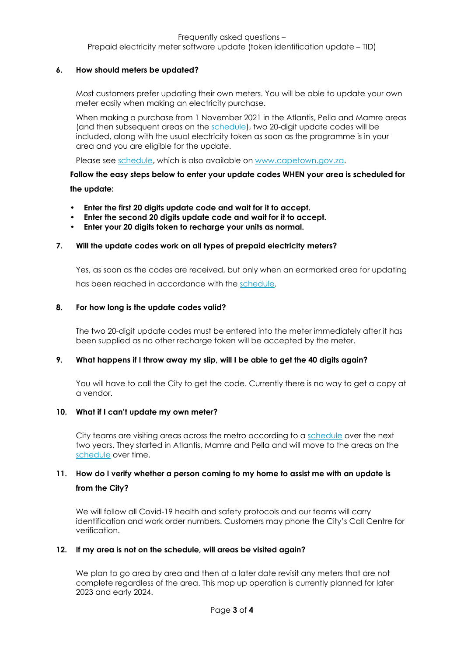#### Frequently asked questions – Prepaid electricity meter software update (token identification update – TID)

#### <span id="page-3-0"></span>**6. How should meters be updated?**

Most customers prefer updating their own meters. You will be able to update your own meter easily when making an electricity purchase.

When making a purchase from 1 November 2021 in the Atlantis, Pella and Mamre areas (and then subsequent areas on the [schedule\)](https://resource.capetown.gov.za/documentcentre/Documents/Procedures%2C%20guidelines%20and%20regulations/Token_Identifier_Roll-Out_Plan_Key_Change_Token_Project_Schedule.pdf), two 20-digit update codes will be included, along with the usual electricity token as soon as the programme is in your area and you are eligible for the update.

Please see [schedule,](https://resource.capetown.gov.za/documentcentre/Documents/Procedures%2C%20guidelines%20and%20regulations/Token_Identifier_Roll-Out_Plan_Key_Change_Token_Project_Schedule.pdf) which is also available on [www.capetown.gov.za.](http://www.capetown.gov.za/)

**Follow the easy steps below to enter your update codes WHEN your area is scheduled for the update:**

- **Enter the first 20 digits update code and wait for it to accept.**
- **Enter the second 20 digits update code and wait for it to accept.**
- **Enter your 20 digits token to recharge your units as normal.**

#### <span id="page-3-1"></span>**7. Will the update codes work on all types of prepaid electricity meters?**

Yes, as soon as the codes are received, but only when an earmarked area for updating has been reached in accordance with the [schedule.](https://resource.capetown.gov.za/documentcentre/Documents/Procedures%2C%20guidelines%20and%20regulations/Token_Identifier_Roll-Out_Plan_Key_Change_Token_Project_Schedule.pdf)

#### <span id="page-3-2"></span>**8. For how long is the update codes valid?**

The two 20-digit update codes must be entered into the meter immediately after it has been supplied as no other recharge token will be accepted by the meter.

#### <span id="page-3-3"></span>**9. What happens if I throw away my slip, will I be able to get the 40 digits again?**

You will have to call the City to get the code. Currently there is no way to get a copy at a vendor.

#### <span id="page-3-4"></span>**10. What if I can't update my own meter?**

City teams are visiting areas across the metro according to a [schedule](https://resource.capetown.gov.za/documentcentre/Documents/Procedures%2C%20guidelines%20and%20regulations/Token_Identifier_Roll-Out_Plan_Key_Change_Token_Project_Schedule.pdf) over the next two years. They started in Atlantis, Mamre and Pella and will move to the areas on the [schedule](https://resource.capetown.gov.za/documentcentre/Documents/Procedures%2C%20guidelines%20and%20regulations/Token_Identifier_Roll-Out_Plan_Key_Change_Token_Project_Schedule.pdf) over time.

### <span id="page-3-5"></span>**11. How do I verify whether a person coming to my home to assist me with an update is from the City?**

We will follow all Covid-19 health and safety protocols and our teams will carry identification and work order numbers. Customers may phone the City's Call Centre for verification.

#### <span id="page-3-6"></span>**12. If my area is not on the schedule, will areas be visited again?**

We plan to go area by area and then at a later date revisit any meters that are not complete regardless of the area. This mop up operation is currently planned for later 2023 and early 2024.